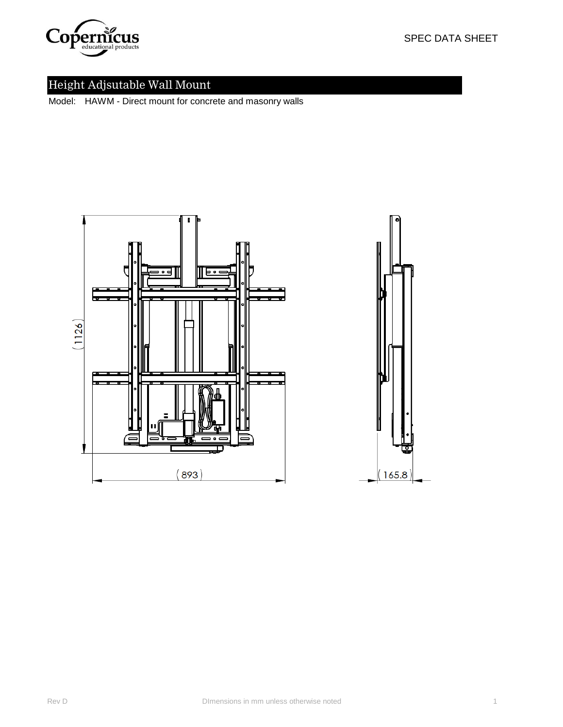

Model: HAWM - Direct mount for concrete and masonry walls



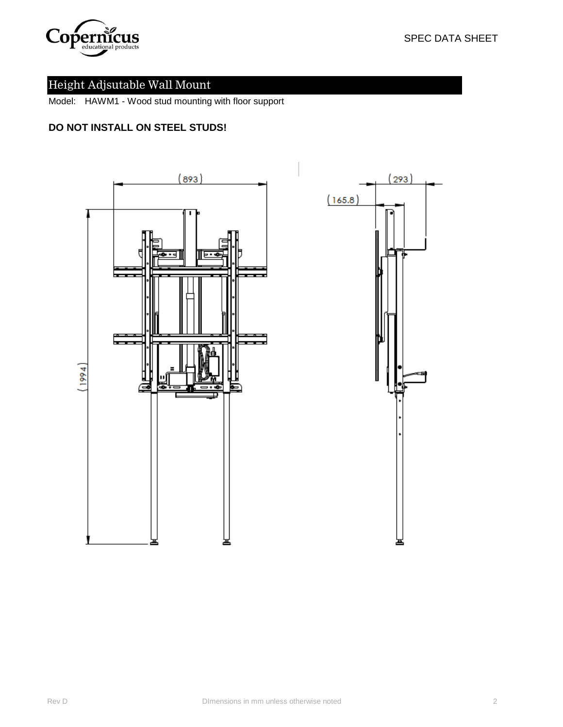

Model: HAWM1 - Wood stud mounting with floor support

## **DO NOT INSTALL ON STEEL STUDS!**



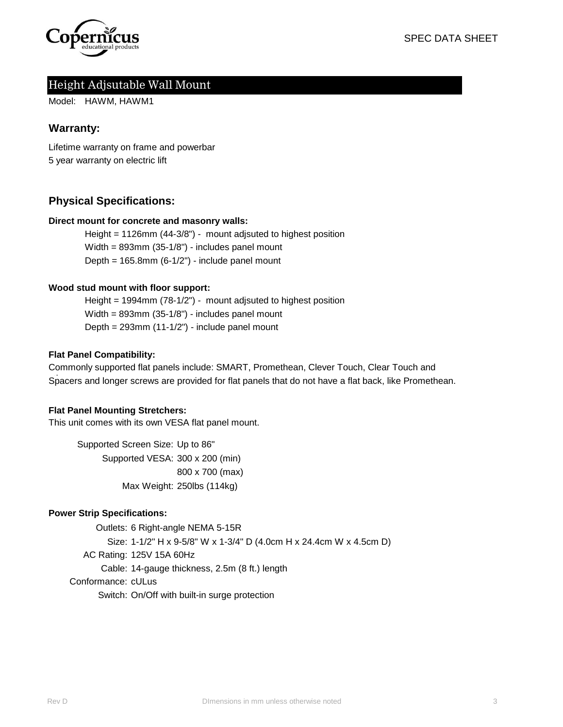

Model: HAWM, HAWM1

### **Warranty:**

Lifetime warranty on frame and powerbar 5 year warranty on electric lift

## **Physical Specifications:**

#### **Direct mount for concrete and masonry walls:**

Width = 893mm (35-1/8") - includes panel mount Depth =  $165.8$ mm  $(6-1/2")$  - include panel mount Height = 1126mm (44-3/8") - mount adjsuted to highest position

#### **Wood stud mount with floor support:**

Width = 893mm (35-1/8") - includes panel mount Depth = 293mm (11-1/2") - include panel mount Height = 1994mm (78-1/2") - mount adjsuted to highest position

#### **Flat Panel Compatibility:**

Commonly supported flat panels include: SMART, Promethean, Clever Touch, Clear Touch and Spacers and longer screws are provided for flat panels that do not have a flat back, like Promethean.

#### **Flat Panel Mounting Stretchers:**

This unit comes with its own VESA flat panel mount.

Supported Screen Size: Up to 86" Supported VESA: 300 x 200 (min) 800 x 700 (max) Max Weight: 250lbs (114kg)

#### **Power Strip Specifications:**

Outlets: 6 Right-angle NEMA 5-15R Size: 1-1/2" H x 9-5/8" W x 1-3/4" D (4.0cm H x 24.4cm W x 4.5cm D) AC Rating: 125V 15A 60Hz Cable: 14-gauge thickness, 2.5m (8 ft.) length Conformance: cULus Switch: On/Off with built-in surge protection